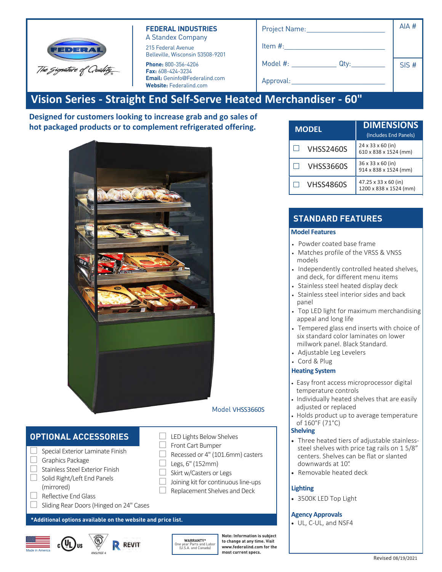| <b>FEDERA</b>           |
|-------------------------|
| The Gignature of Quahty |

#### **FEDERAL INDUSTRIES** A Standex Company

215 Federal Avenue Belleville, Wisconsin 53508-9201

**Phone:** 800-356-4206 **Fax:** 608-424-3234 **Email:** Geninfo@Federalind.com **Website:** Federalind.com

| Project Name:    | AIA # |
|------------------|-------|
| Item #:          |       |
| Model #:<br>Qty: | SIS#  |
| Approval:        |       |

# **Vision Series - Straight End Self-Serve Heated Merchandiser - 60"**

**Designed for customers looking to increase grab and go sales of hot packaged products or to complement refrigerated offering.**



### Model VHSS3660S

## **OPTIONAL ACCESSORIES**

- $\Box$  Special Exterior Laminate Finish
- □ Graphics Package
- □ Stainless Steel Exterior Finish
- □ Solid Right/Left End Panels
- (mirrored)
- □ Reflective End Glass
- $\Box$  Sliding Rear Doors (Hinged on 24" Cases

#### **\*Additional options available on the website and price list.**





**WARRANTY\*** One year Parts and Labor (U.S.A. and Canada)

 $\Box$  LED Lights Below Shelves □ Front Cart Bumper

 $\Box$  Legs, 6" (152mm) □ Skirt w/Casters or Legs

 $\Box$  Recessed or 4" (101.6mm) casters

 $\Box$  Joining kit for continuous line-ups □ Replacement Shelves and Deck

> **Note: Information is subject to change at any time. Visit www.federalind.com for the most current specs.**

| ote: Information is subiect |
|-----------------------------|
| o change at anv time. Visit |
| ww.federalind.com for the   |
| soet currant enace          |

| <b>MODEL</b>     | <b>DIMENSIONS</b><br>(Includes End Panels)             |
|------------------|--------------------------------------------------------|
| <b>VHSS2460S</b> | $24 \times 33 \times 60$ (in)<br>610 x 838 x 1524 (mm) |
| <b>VHSS3660S</b> | 36 x 33 x 60 (in)<br>914 x 838 x 1524 (mm)             |
| <b>VHSS4860S</b> | 47.25 x 33 x 60 (in)<br>1200 x 838 x 1524 (mm)         |

## **STANDARD FEATURES**

#### **Model Features**

- Powder coated base frame
- Matches profile of the VRSS & VNSS models
- Independently controlled heated shelves, and deck, for different menu items
- Stainless steel heated display deck
- Stainless steel interior sides and back panel
- Top LED light for maximum merchandising appeal and long life
- Tempered glass end inserts with choice of six standard color laminates on lower millwork panel. Black Standard.
- Adjustable Leg Levelers
- Cord & Plug

#### **Heating System**

- Easy front access microprocessor digital temperature controls
- Individually heated shelves that are easily adjusted or replaced
- Holds product up to average temperature of 160°F (71°C)

#### **Shelving**

- Three heated tiers of adjustable stainlesssteel shelves with price tag rails on 1 5/8" centers. Shelves can be flat or slanted downwards at 10°.
- Removable heated deck

#### **Lighting**

• 3500K LED Top Light

#### **Agency Approvals**

• UL, C-UL, and NSF4